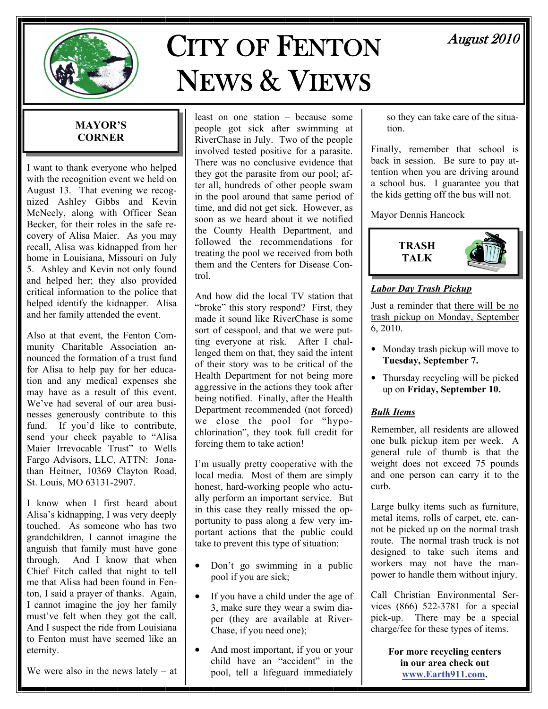

# CITY OF FENTON NEWS & VIEWS

# August 2010

# **MAYOR'S CORNER**

I want to thank everyone who helped with the recognition event we held on August 13. That evening we recognized Ashley Gibbs and Kevin McNeely, along with Officer Sean Becker, for their roles in the safe recovery of Alisa Maier. As you may recall, Alisa was kidnapped from her home in Louisiana, Missouri on July 5. Ashley and Kevin not only found and helped her; they also provided critical information to the police that helped identify the kidnapper. Alisa and her family attended the event.

Also at that event, the Fenton Community Charitable Association announced the formation of a trust fund for Alisa to help pay for her education and any medical expenses she may have as a result of this event. We've had several of our area businesses generously contribute to this fund. If you'd like to contribute, send your check payable to "Alisa Maier Irrevocable Trust" to Wells Fargo Advisors, LLC, ATTN: Jonathan Heitner, 10369 Clayton Road, St. Louis, MO 63131-2907.

I know when I first heard about Alisa's kidnapping, I was very deeply touched. As someone who has two grandchildren, I cannot imagine the anguish that family must have gone through. And I know that when Chief Fitch called that night to tell me that Alisa had been found in Fenton, I said a prayer of thanks. Again, I cannot imagine the joy her family must've felt when they got the call. And I suspect the ride from Louisiana to Fenton must have seemed like an eternity.

We were also in the news lately  $-$  at

least on one station – because some people got sick after swimming at RiverChase in July. Two of the people involved tested positive for a parasite. There was no conclusive evidence that they got the parasite from our pool; after all, hundreds of other people swam in the pool around that same period of time, and did not get sick. However, as soon as we heard about it we notified the County Health Department, and followed the recommendations for treating the pool we received from both them and the Centers for Disease Control.

And how did the local TV station that "broke" this story respond? First, they made it sound like RiverChase is some sort of cesspool, and that we were putting everyone at risk. After I challenged them on that, they said the intent of their story was to be critical of the Health Department for not being more aggressive in the actions they took after being notified. Finally, after the Health Department recommended (not forced) we close the pool for "hypochlorination", they took full credit for forcing them to take action!

I'm usually pretty cooperative with the local media. Most of them are simply honest, hard-working people who actually perform an important service. But in this case they really missed the opportunity to pass along a few very important actions that the public could take to prevent this type of situation:

- Don't go swimming in a public pool if you are sick;
- If you have a child under the age of 3, make sure they wear a swim diaper (they are available at River-Chase, if you need one);
- And most important, if you or your child have an "accident" in the pool, tell a lifeguard immediately

so they can take care of the situation.

Finally, remember that school is back in session. Be sure to pay attention when you are driving around a school bus. I guarantee you that the kids getting off the bus will not.

Mayor Dennis Hancock



# *Labor Day Trash Pickup*

Just a reminder that there will be no trash pickup on Monday, September  $6, 2010.$ 

- Monday trash pickup will move to **Tuesday, September 7.**
- Thursday recycling will be picked up on **Friday, September 10.**

# *Bulk Items*

Remember, all residents are allowed one bulk pickup item per week. A general rule of thumb is that the weight does not exceed 75 pounds and one person can carry it to the curb.

Large bulky items such as furniture, metal items, rolls of carpet, etc. cannot be picked up on the normal trash route. The normal trash truck is not designed to take such items and workers may not have the manpower to handle them without injury.

Call Christian Environmental Services (866) 522-3781 for a special pick-up. There may be a special charge/fee for these types of items.

> **For more recycling centers in our area check out [www.Earth911.com](http://www.earth911.com).**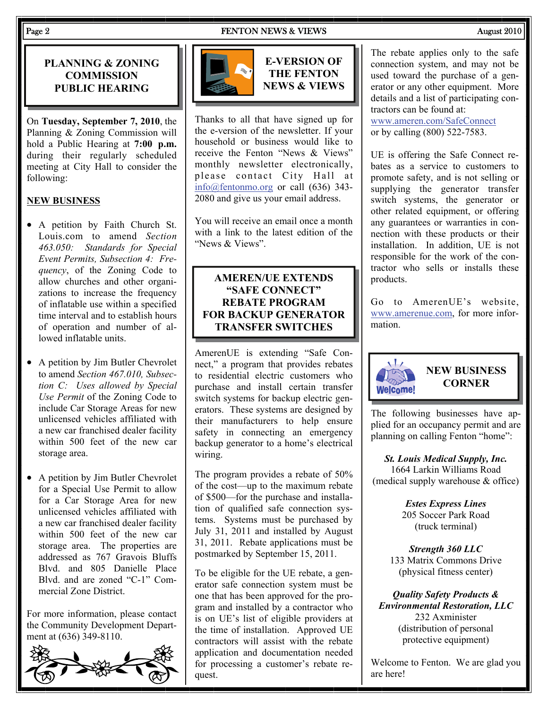### Page 2 **FENTON NEWS & VIEWS** August 2010

# **PLANNING & ZONING COMMISSION PUBLIC HEARING**

On **Tuesday, September 7, 2010**, the Planning & Zoning Commission will hold a Public Hearing at **7:00 p.m.**  during their regularly scheduled meeting at City Hall to consider the following:

# **NEW BUSINESS**

- A petition by Faith Church St. Louis.com to amend *Section 463.050: Standards for Special Event Permits, Subsection 4: Frequency*, of the Zoning Code to allow churches and other organizations to increase the frequency of inflatable use within a specified time interval and to establish hours of operation and number of allowed inflatable units.
- A petition by Jim Butler Chevrolet to amend *Section 467.010, Subsection C: Uses allowed by Special Use Permit* of the Zoning Code to include Car Storage Areas for new unlicensed vehicles affiliated with a new car franchised dealer facility within 500 feet of the new car storage area.
- A petition by Jim Butler Chevrolet for a Special Use Permit to allow for a Car Storage Area for new unlicensed vehicles affiliated with a new car franchised dealer facility within 500 feet of the new car storage area. The properties are addressed as 767 Gravois Bluffs Blvd. and 805 Danielle Place Blvd. and are zoned "C-1" Commercial Zone District.

For more information, please contact the Community Development Department at (636) 349-8110.





**E-VERSION OF THE FENTON NEWS & VIEWS** 

Thanks to all that have signed up for the e-version of the newsletter. If your household or business would like to receive the Fenton "News & Views" monthly newsletter electronically, please contact City Hall at [info@fentonmo.org](mailto:info@fentonmo.org?subject=E-newsletter) or call (636) 343- 2080 and give us your email address.

You will receive an email once a month with a link to the latest edition of the "News & Views".

# **AMEREN/UE EXTENDS "SAFE CONNECT" REBATE PROGRAM FOR BACKUP GENERATOR TRANSFER SWITCHES**

AmerenUE is extending "Safe Connect," a program that provides rebates to residential electric customers who purchase and install certain transfer switch systems for backup electric generators. These systems are designed by their manufacturers to help ensure safety in connecting an emergency backup generator to a home's electrical wiring.

The program provides a rebate of 50% of the cost—up to the maximum rebate of \$500—for the purchase and installation of qualified safe connection systems. Systems must be purchased by July 31, 2011 and installed by August 31, 2011. Rebate applications must be postmarked by September 15, 2011.

To be eligible for the UE rebate, a generator safe connection system must be one that has been approved for the program and installed by a contractor who is on UE's list of eligible providers at the time of installation. Approved UE contractors will assist with the rebate application and documentation needed for processing a customer's rebate request.

The rebate applies only to the safe connection system, and may not be used toward the purchase of a generator or any other equipment. More details and a list of participating contractors can be found at:

[www.ameren.com/SafeConnect](http://www.ameren.com/SafeConnect) or by calling (800) 522-7583.

UE is offering the Safe Connect rebates as a service to customers to promote safety, and is not selling or supplying the generator transfer switch systems, the generator or other related equipment, or offering any guarantees or warranties in connection with these products or their installation. In addition, UE is not responsible for the work of the contractor who sells or installs these products.

Go to AmerenUE's website, [www.amerenue.com](http://www.amerenue.com), for more information.



# **NEW BUSINESS CORNER**

The following businesses have applied for an occupancy permit and are planning on calling Fenton "home":

*St. Louis Medical Supply, Inc.*  1664 Larkin Williams Road (medical supply warehouse & office)

> *Estes Express Lines*  205 Soccer Park Road (truck terminal)

*Strength 360 LLC*  133 Matrix Commons Drive (physical fitness center)

*Quality Safety Products & Environmental Restoration, LLC*  232 Axminister (distribution of personal protective equipment)

Welcome to Fenton. We are glad you are here!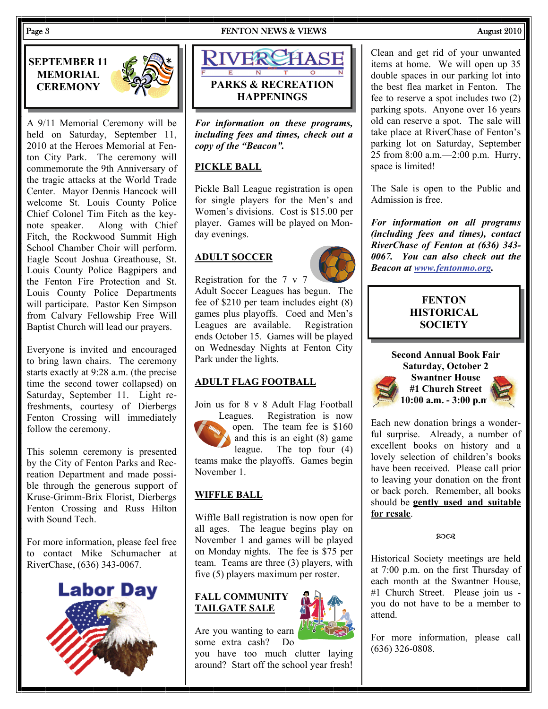Page 3 Research 2010 **FENTON NEWS & VIEWS** August 2010





A 9/11 Memorial Ceremony will be held on Saturday, September 11, 2010 at the Heroes Memorial at Fenton City Park. The ceremony will commemorate the 9th Anniversary of the tragic attacks at the World Trade Center. Mayor Dennis Hancock will welcome St. Louis County Police Chief Colonel Tim Fitch as the keynote speaker. Along with Chief Fitch, the Rockwood Summit High School Chamber Choir will perform. Eagle Scout Joshua Greathouse, St. Louis County Police Bagpipers and the Fenton Fire Protection and St. Louis County Police Departments will participate. Pastor Ken Simpson from Calvary Fellowship Free Will Baptist Church will lead our prayers.

Everyone is invited and encouraged to bring lawn chairs. The ceremony starts exactly at 9:28 a.m. (the precise time the second tower collapsed) on Saturday, September 11. Light refreshments, courtesy of Dierbergs Fenton Crossing will immediately follow the ceremony.

This solemn ceremony is presented by the City of Fenton Parks and Recreation Department and made possible through the generous support of Kruse-Grimm-Brix Florist, Dierbergs Fenton Crossing and Russ Hilton with Sound Tech.

For more information, please feel free to contact Mike Schumacher at RiverChase, (636) 343-0067.





*For information on these programs, including fees and times, check out a copy of the "Beacon".* 

# **PICKLE BALL**

Pickle Ball League registration is open for single players for the Men's and Women's divisions. Cost is \$15.00 per player. Games will be played on Monday evenings.

# **ADULT SOCCER**

Registration for the 7 v 7

Adult Soccer Leagues has begun. The fee of \$210 per team includes eight (8) games plus playoffs. Coed and Men's Leagues are available. Registration ends October 15. Games will be played on Wednesday Nights at Fenton City Park under the lights.

# **ADULT FLAG FOOTBALL**

Join us for 8 v 8 Adult Flag Football Leagues. Registration is now open. The team fee is \$160 and this is an eight (8) game league. The top four (4) teams make the playoffs. Games begin November 1.

# **WIFFLE BALL**

Wiffle Ball registration is now open for all ages. The league begins play on November 1 and games will be played on Monday nights. The fee is \$75 per team. Teams are three (3) players, with five (5) players maximum per roster.

# **FALL COMMUNITY TAILGATE SALE**



Are you wanting to earn some extra cash? Do

you have too much clutter laying around? Start off the school year fresh! Clean and get rid of your unwanted items at home. We will open up 35 double spaces in our parking lot into the best flea market in Fenton. The fee to reserve a spot includes two (2) parking spots. Anyone over 16 years old can reserve a spot. The sale will take place at RiverChase of Fenton's parking lot on Saturday, September 25 from 8:00 a.m.—2:00 p.m. Hurry, space is limited!

The Sale is open to the Public and Admission is free.

*For information on all programs (including fees and times), contact RiverChase of Fenton at (636) 343- 0067. You can also check out the Beacon at [www.fentonmo.org.](http://www.fentonmo.org)*

# **FENTON HISTORICAL SOCIETY**



Each new donation brings a wonderful surprise. Already, a number of excellent books on history and a lovely selection of children's books have been received. Please call prior to leaving your donation on the front or back porch. Remember, all books should be **gently used and suitable for resale**.

 $20Q$ 

Historical Society meetings are held at 7:00 p.m. on the first Thursday of each month at the Swantner House, #1 Church Street. Please join us you do not have to be a member to attend.

For more information, please call (636) 326-0808.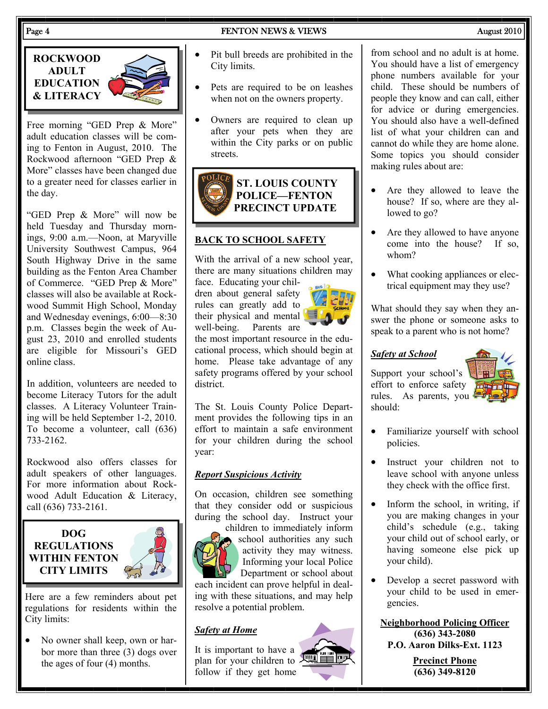# Page 4 **FENTON NEWS & VIEWS August 2010**

**ROCKWOOD ADULT EDUCATION & LITERACY** 



Free morning "GED Prep & More" adult education classes will be coming to Fenton in August, 2010. The Rockwood afternoon "GED Prep & More" classes have been changed due to a greater need for classes earlier in the day.

"GED Prep & More" will now be held Tuesday and Thursday mornings, 9:00 a.m.—Noon, at Maryville University Southwest Campus, 964 South Highway Drive in the same building as the Fenton Area Chamber of Commerce. "GED Prep & More" classes will also be available at Rockwood Summit High School, Monday and Wednesday evenings, 6:00—8:30 p.m. Classes begin the week of August 23, 2010 and enrolled students are eligible for Missouri's GED online class.

In addition, volunteers are needed to become Literacy Tutors for the adult classes. A Literacy Volunteer Training will be held September 1-2, 2010. To become a volunteer, call (636) 733-2162.

Rockwood also offers classes for adult speakers of other languages. For more information about Rockwood Adult Education & Literacy, call (636) 733-2161.



Here are a few reminders about pet regulations for residents within the City limits:

• No owner shall keep, own or harbor more than three (3) dogs over the ages of four (4) months.

- Pit bull breeds are prohibited in the City limits.
- Pets are required to be on leashes when not on the owners property.
- Owners are required to clean up after your pets when they are within the City parks or on public streets.



# **BACK TO SCHOOL SAFETY**

With the arrival of a new school year, there are many situations children may

face. Educating your children about general safety rules can greatly add to their physical and mental<br>well-being. Parents are Parents are

the most important resource in the educational process, which should begin at home. Please take advantage of any safety programs offered by your school district.

The St. Louis County Police Department provides the following tips in an effort to maintain a safe environment for your children during the school year:

# *Report Suspicious Activity*

On occasion, children see something that they consider odd or suspicious during the school day. Instruct your



children to immediately inform school authorities any such activity they may witness. Informing your local Police Department or school about

each incident can prove helpful in dealing with these situations, and may help resolve a potential problem.

# *Safety at Home*

It is important to have a plan for your children to follow if they get home

from school and no adult is at home. You should have a list of emergency phone numbers available for your child. These should be numbers of people they know and can call, either for advice or during emergencies. You should also have a well-defined list of what your children can and cannot do while they are home alone. Some topics you should consider making rules about are:

- Are they allowed to leave the house? If so, where are they allowed to go?
- Are they allowed to have anyone come into the house? If so, whom?
- What cooking appliances or electrical equipment may they use?

What should they say when they answer the phone or someone asks to speak to a parent who is not home?

# *Safety at School*

Support your school's effort to enforce safety rules. As parents, you should:



- Familiarize yourself with school policies.
- Instruct your children not to leave school with anyone unless they check with the office first.
- Inform the school, in writing, if you are making changes in your child's schedule (e.g., taking your child out of school early, or having someone else pick up your child).
- Develop a secret password with your child to be used in emergencies.

**Neighborhood Policing Officer (636) 343-2080 P.O. Aaron Dilks-Ext. 1123** 

> **Precinct Phone (636) 349-8120**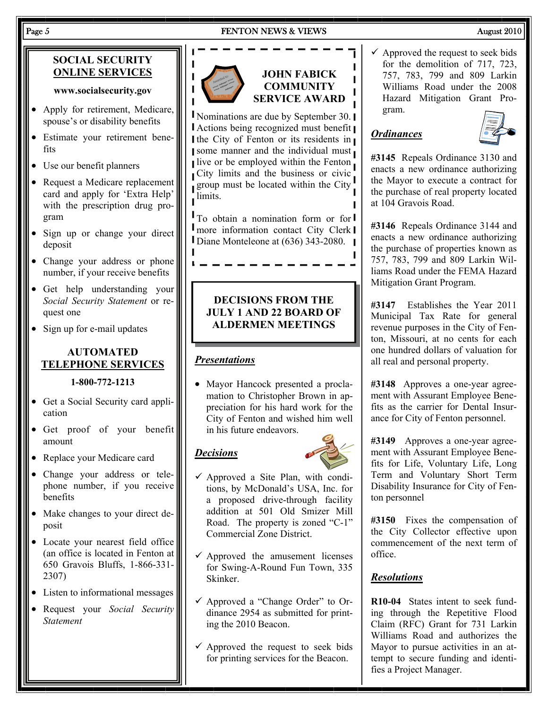# Page 5 Research 2010 **FENTON NEWS & VIEWS** August 2010

# **SOCIAL SECURITY ONLINE SERVICES**

### **www.socialsecurity.gov**

- Apply for retirement, Medicare, spouse's or disability benefits
- Estimate your retirement benefits
- Use our benefit planners
- Request a Medicare replacement card and apply for 'Extra Help' with the prescription drug program
- Sign up or change your direct deposit
- Change your address or phone number, if your receive benefits
- Get help understanding your *Social Security Statement* or request one
- Sign up for e-mail updates

# **AUTOMATED TELEPHONE SERVICES**

# **1-800-772-1213**

- Get a Social Security card application
- Get proof of your benefit amount
- Replace your Medicare card
- Change your address or telephone number, if you receive benefits
- Make changes to your direct deposit
- Locate your nearest field office (an office is located in Fenton at 650 Gravois Bluffs, 1-866-331- 2307)
- Listen to informational messages
- Request your *Social Security Statement*



# **JOHN FABICK COMMUNITY SERVICE AWARD**

Nominations are due by September 30. Actions being recognized must benefit I the City of Fenton or its residents in some manner and the individual must live or be employed within the Fenton City limits and the business or civic group must be located within the City limits. r

To obtain a nomination form or for I more information contact City Clerk I Diane Monteleone at (636) 343-2080.

# **DECISIONS FROM THE JULY 1 AND 22 BOARD OF ALDERMEN MEETINGS**

# *Presentations*

• Mayor Hancock presented a proclamation to Christopher Brown in appreciation for his hard work for the City of Fenton and wished him well in his future endeavors.

# *Decisions*



- $\checkmark$  Approved a Site Plan, with conditions, by McDonald's USA, Inc. for a proposed drive-through facility addition at 501 Old Smizer Mill Road. The property is zoned "C-1" Commercial Zone District.
- $\checkmark$  Approved the amusement licenses for Swing-A-Round Fun Town, 335 Skinker.
- $\checkmark$  Approved a "Change Order" to Ordinance 2954 as submitted for printing the 2010 Beacon.
- $\checkmark$  Approved the request to seek bids for printing services for the Beacon.

 $\checkmark$  Approved the request to seek bids for the demolition of 717, 723, 757, 783, 799 and 809 Larkin Williams Road under the 2008 Hazard Mitigation Grant Program.

# *Ordinances*



**#3145** Repeals Ordinance 3130 and enacts a new ordinance authorizing the Mayor to execute a contract for the purchase of real property located at 104 Gravois Road.

**#3146** Repeals Ordinance 3144 and enacts a new ordinance authorizing the purchase of properties known as 757, 783, 799 and 809 Larkin Williams Road under the FEMA Hazard Mitigation Grant Program.

**#3147** Establishes the Year 2011 Municipal Tax Rate for general revenue purposes in the City of Fenton, Missouri, at no cents for each one hundred dollars of valuation for all real and personal property.

**#3148** Approves a one-year agreement with Assurant Employee Benefits as the carrier for Dental Insurance for City of Fenton personnel.

**#3149** Approves a one-year agreement with Assurant Employee Benefits for Life, Voluntary Life, Long Term and Voluntary Short Term Disability Insurance for City of Fenton personnel

**#3150** Fixes the compensation of the City Collector effective upon commencement of the next term of office.

# *Resolutions*

**R10-04** States intent to seek funding through the Repetitive Flood Claim (RFC) Grant for 731 Larkin Williams Road and authorizes the Mayor to pursue activities in an attempt to secure funding and identifies a Project Manager.